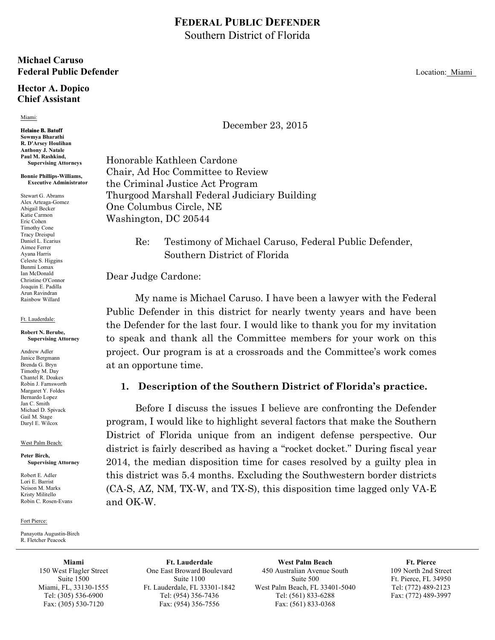## **FEDERAL PUBLIC DEFENDER** Southern District of Florida

### **Michael Caruso Federal Public Defender Location: Miami**

### **Hector A. Dopico Chief Assistant**

#### Miami:

#### **Helaine B. Batoff Sowmya Bharathi R. D'Arsey Houlihan Anthony J. Natale Paul M. Rashkind, Supervising Attorneys**

### **Bonnie Phillips-Williams, Executive Administrator**

Stewart G. Abrams Alex Arteaga-Gomez Abigail Becker Katie Carmon Eric Cohen Timothy Cone Tracy Dreispul Daniel L. Ecarius Aimee Ferrer Ayana Harris Celeste S. Higgins Bunmi Lomax Ian McDonald Christine O'Connor Joaquin E. Padilla Arun Ravindran Rainbow Willard

#### Ft. Lauderdale:

#### **Robert N. Berube, Supervising Attorney**

Andrew Adler Janice Bergmann Brenda G. Bryn Timothy M. Day Chantel R. Doakes Robin J. Farnsworth Margaret Y. Foldes Bernardo Lopez Jan C. Smith Michael D. Spivack Gail M. Stage Daryl E. Wilcox

#### West Palm Beach:

#### **Peter Birch, Supervising Attorney**

Robert E. Adler Lori E. Barrist Neison M. Marks Kristy Militello Robin C. Rosen-Evans

#### Fort Pierce:

Panayotta Augustin-Birch R. Fletcher Peacock

> **Miami** 150 West Flagler Street Suite 1500 Miami, FL, 33130-1555 Tel: (305) 536-6900 Fax: (305) 530-7120

**Ft. Lauderdale** One East Broward Boulevard Suite 1100 Ft. Lauderdale, FL 33301-1842 Tel: (954) 356-7436 Fax: (954) 356-7556

**West Palm Beach** 450 Australian Avenue South Suite 500 West Palm Beach, FL 33401-5040 Tel: (561) 833-6288 Fax: (561) 833-0368

**Ft. Pierce** 109 North 2nd Street Ft. Pierce, FL 34950 Tel: (772) 489-2123 Fax: (772) 489-3997

December 23, 2015

Honorable Kathleen Cardone Chair, Ad Hoc Committee to Review the Criminal Justice Act Program Thurgood Marshall Federal Judiciary Building One Columbus Circle, NE Washington, DC 20544

> Re: Testimony of Michael Caruso, Federal Public Defender, Southern District of Florida

### Dear Judge Cardone:

My name is Michael Caruso. I have been a lawyer with the Federal Public Defender in this district for nearly twenty years and have been the Defender for the last four. I would like to thank you for my invitation to speak and thank all the Committee members for your work on this project. Our program is at a crossroads and the Committee's work comes at an opportune time.

### **1. Description of the Southern District of Florida's practice.**

Before I discuss the issues I believe are confronting the Defender program, I would like to highlight several factors that make the Southern District of Florida unique from an indigent defense perspective. Our district is fairly described as having a "rocket docket." During fiscal year 2014, the median disposition time for cases resolved by a guilty plea in this district was 5.4 months. Excluding the Southwestern border districts (CA-S, AZ, NM, TX-W, and TX-S), this disposition time lagged only VA-E and OK-W.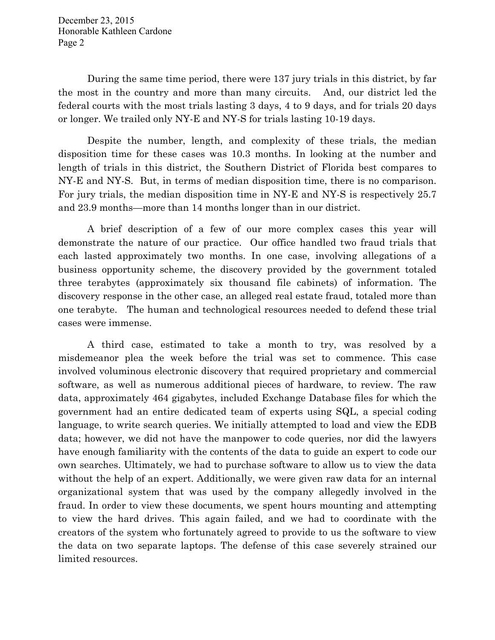During the same time period, there were 137 jury trials in this district, by far the most in the country and more than many circuits. And, our district led the federal courts with the most trials lasting 3 days, 4 to 9 days, and for trials 20 days or longer. We trailed only NY-E and NY-S for trials lasting 10-19 days.

Despite the number, length, and complexity of these trials, the median disposition time for these cases was 10.3 months. In looking at the number and length of trials in this district, the Southern District of Florida best compares to NY-E and NY-S. But, in terms of median disposition time, there is no comparison. For jury trials, the median disposition time in NY-E and NY-S is respectively 25.7 and 23.9 months—more than 14 months longer than in our district.

A brief description of a few of our more complex cases this year will demonstrate the nature of our practice. Our office handled two fraud trials that each lasted approximately two months. In one case, involving allegations of a business opportunity scheme, the discovery provided by the government totaled three terabytes (approximately six thousand file cabinets) of information. The discovery response in the other case, an alleged real estate fraud, totaled more than one terabyte. The human and technological resources needed to defend these trial cases were immense.

A third case, estimated to take a month to try, was resolved by a misdemeanor plea the week before the trial was set to commence. This case involved voluminous electronic discovery that required proprietary and commercial software, as well as numerous additional pieces of hardware, to review. The raw data, approximately 464 gigabytes, included Exchange Database files for which the government had an entire dedicated team of experts using SQL, a special coding language, to write search queries. We initially attempted to load and view the EDB data; however, we did not have the manpower to code queries, nor did the lawyers have enough familiarity with the contents of the data to guide an expert to code our own searches. Ultimately, we had to purchase software to allow us to view the data without the help of an expert. Additionally, we were given raw data for an internal organizational system that was used by the company allegedly involved in the fraud. In order to view these documents, we spent hours mounting and attempting to view the hard drives. This again failed, and we had to coordinate with the creators of the system who fortunately agreed to provide to us the software to view the data on two separate laptops. The defense of this case severely strained our limited resources.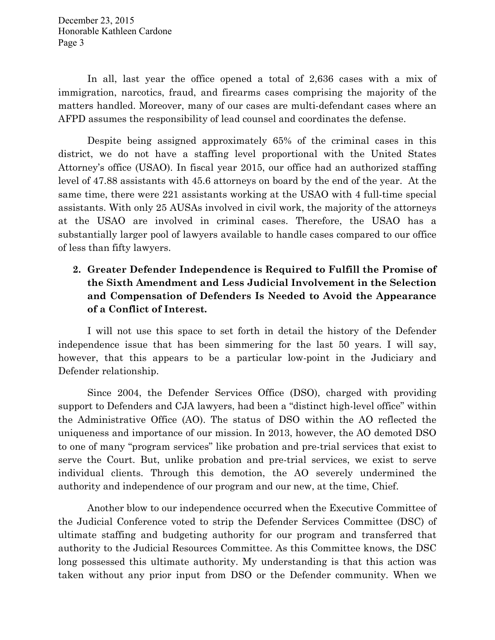In all, last year the office opened a total of 2,636 cases with a mix of immigration, narcotics, fraud, and firearms cases comprising the majority of the matters handled. Moreover, many of our cases are multi-defendant cases where an AFPD assumes the responsibility of lead counsel and coordinates the defense.

Despite being assigned approximately 65% of the criminal cases in this district, we do not have a staffing level proportional with the United States Attorney's office (USAO). In fiscal year 2015, our office had an authorized staffing level of 47.88 assistants with 45.6 attorneys on board by the end of the year. At the same time, there were 221 assistants working at the USAO with 4 full-time special assistants. With only 25 AUSAs involved in civil work, the majority of the attorneys at the USAO are involved in criminal cases. Therefore, the USAO has a substantially larger pool of lawyers available to handle cases compared to our office of less than fifty lawyers.

# **2. Greater Defender Independence is Required to Fulfill the Promise of the Sixth Amendment and Less Judicial Involvement in the Selection and Compensation of Defenders Is Needed to Avoid the Appearance of a Conflict of Interest.**

I will not use this space to set forth in detail the history of the Defender independence issue that has been simmering for the last 50 years. I will say, however, that this appears to be a particular low-point in the Judiciary and Defender relationship.

Since 2004, the Defender Services Office (DSO), charged with providing support to Defenders and CJA lawyers, had been a "distinct high-level office" within the Administrative Office (AO). The status of DSO within the AO reflected the uniqueness and importance of our mission. In 2013, however, the AO demoted DSO to one of many "program services" like probation and pre-trial services that exist to serve the Court. But, unlike probation and pre-trial services, we exist to serve individual clients. Through this demotion, the AO severely undermined the authority and independence of our program and our new, at the time, Chief.

Another blow to our independence occurred when the Executive Committee of the Judicial Conference voted to strip the Defender Services Committee (DSC) of ultimate staffing and budgeting authority for our program and transferred that authority to the Judicial Resources Committee. As this Committee knows, the DSC long possessed this ultimate authority. My understanding is that this action was taken without any prior input from DSO or the Defender community. When we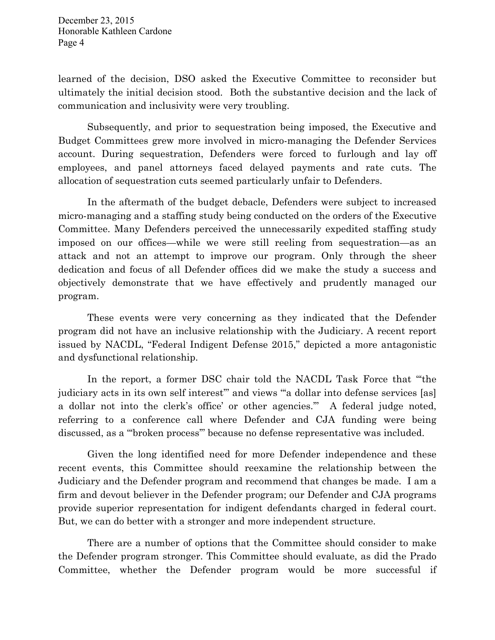learned of the decision, DSO asked the Executive Committee to reconsider but ultimately the initial decision stood. Both the substantive decision and the lack of communication and inclusivity were very troubling.

Subsequently, and prior to sequestration being imposed, the Executive and Budget Committees grew more involved in micro-managing the Defender Services account. During sequestration, Defenders were forced to furlough and lay off employees, and panel attorneys faced delayed payments and rate cuts. The allocation of sequestration cuts seemed particularly unfair to Defenders.

In the aftermath of the budget debacle, Defenders were subject to increased micro-managing and a staffing study being conducted on the orders of the Executive Committee. Many Defenders perceived the unnecessarily expedited staffing study imposed on our offices—while we were still reeling from sequestration—as an attack and not an attempt to improve our program. Only through the sheer dedication and focus of all Defender offices did we make the study a success and objectively demonstrate that we have effectively and prudently managed our program.

These events were very concerning as they indicated that the Defender program did not have an inclusive relationship with the Judiciary. A recent report issued by NACDL, "Federal Indigent Defense 2015," depicted a more antagonistic and dysfunctional relationship.

In the report, a former DSC chair told the NACDL Task Force that "'the judiciary acts in its own self interest" and views "a dollar into defense services [as] a dollar not into the clerk's office' or other agencies.'" A federal judge noted, referring to a conference call where Defender and CJA funding were being discussed, as a "'broken process'" because no defense representative was included.

Given the long identified need for more Defender independence and these recent events, this Committee should reexamine the relationship between the Judiciary and the Defender program and recommend that changes be made. I am a firm and devout believer in the Defender program; our Defender and CJA programs provide superior representation for indigent defendants charged in federal court. But, we can do better with a stronger and more independent structure.

There are a number of options that the Committee should consider to make the Defender program stronger. This Committee should evaluate, as did the Prado Committee, whether the Defender program would be more successful if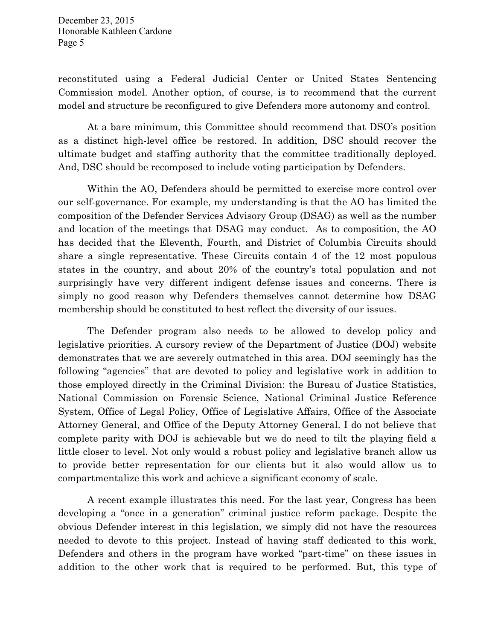reconstituted using a Federal Judicial Center or United States Sentencing Commission model. Another option, of course, is to recommend that the current model and structure be reconfigured to give Defenders more autonomy and control.

At a bare minimum, this Committee should recommend that DSO's position as a distinct high-level office be restored. In addition, DSC should recover the ultimate budget and staffing authority that the committee traditionally deployed. And, DSC should be recomposed to include voting participation by Defenders.

Within the AO, Defenders should be permitted to exercise more control over our self-governance. For example, my understanding is that the AO has limited the composition of the Defender Services Advisory Group (DSAG) as well as the number and location of the meetings that DSAG may conduct. As to composition, the AO has decided that the Eleventh, Fourth, and District of Columbia Circuits should share a single representative. These Circuits contain 4 of the 12 most populous states in the country, and about 20% of the country's total population and not surprisingly have very different indigent defense issues and concerns. There is simply no good reason why Defenders themselves cannot determine how DSAG membership should be constituted to best reflect the diversity of our issues.

The Defender program also needs to be allowed to develop policy and legislative priorities. A cursory review of the Department of Justice (DOJ) website demonstrates that we are severely outmatched in this area. DOJ seemingly has the following "agencies" that are devoted to policy and legislative work in addition to those employed directly in the Criminal Division: the Bureau of Justice Statistics, National Commission on Forensic Science, National Criminal Justice Reference System, Office of Legal Policy, Office of Legislative Affairs, Office of the Associate Attorney General, and Office of the Deputy Attorney General. I do not believe that complete parity with DOJ is achievable but we do need to tilt the playing field a little closer to level. Not only would a robust policy and legislative branch allow us to provide better representation for our clients but it also would allow us to compartmentalize this work and achieve a significant economy of scale.

A recent example illustrates this need. For the last year, Congress has been developing a "once in a generation" criminal justice reform package. Despite the obvious Defender interest in this legislation, we simply did not have the resources needed to devote to this project. Instead of having staff dedicated to this work, Defenders and others in the program have worked "part-time" on these issues in addition to the other work that is required to be performed. But, this type of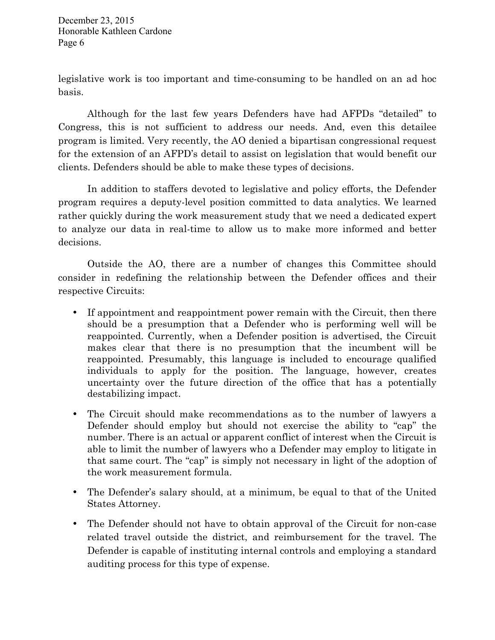legislative work is too important and time-consuming to be handled on an ad hoc basis.

Although for the last few years Defenders have had AFPDs "detailed" to Congress, this is not sufficient to address our needs. And, even this detailee program is limited. Very recently, the AO denied a bipartisan congressional request for the extension of an AFPD's detail to assist on legislation that would benefit our clients. Defenders should be able to make these types of decisions.

In addition to staffers devoted to legislative and policy efforts, the Defender program requires a deputy-level position committed to data analytics. We learned rather quickly during the work measurement study that we need a dedicated expert to analyze our data in real-time to allow us to make more informed and better decisions.

Outside the AO, there are a number of changes this Committee should consider in redefining the relationship between the Defender offices and their respective Circuits:

- If appointment and reappointment power remain with the Circuit, then there should be a presumption that a Defender who is performing well will be reappointed. Currently, when a Defender position is advertised, the Circuit makes clear that there is no presumption that the incumbent will be reappointed. Presumably, this language is included to encourage qualified individuals to apply for the position. The language, however, creates uncertainty over the future direction of the office that has a potentially destabilizing impact.
- The Circuit should make recommendations as to the number of lawyers a Defender should employ but should not exercise the ability to "cap" the number. There is an actual or apparent conflict of interest when the Circuit is able to limit the number of lawyers who a Defender may employ to litigate in that same court. The "cap" is simply not necessary in light of the adoption of the work measurement formula.
- The Defender's salary should, at a minimum, be equal to that of the United States Attorney.
- The Defender should not have to obtain approval of the Circuit for non-case related travel outside the district, and reimbursement for the travel. The Defender is capable of instituting internal controls and employing a standard auditing process for this type of expense.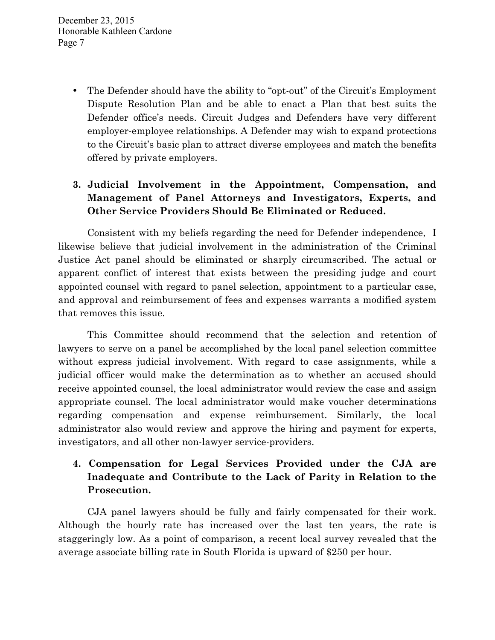> • The Defender should have the ability to "opt-out" of the Circuit's Employment Dispute Resolution Plan and be able to enact a Plan that best suits the Defender office's needs. Circuit Judges and Defenders have very different employer-employee relationships. A Defender may wish to expand protections to the Circuit's basic plan to attract diverse employees and match the benefits offered by private employers.

# **3. Judicial Involvement in the Appointment, Compensation, and Management of Panel Attorneys and Investigators, Experts, and Other Service Providers Should Be Eliminated or Reduced.**

Consistent with my beliefs regarding the need for Defender independence, I likewise believe that judicial involvement in the administration of the Criminal Justice Act panel should be eliminated or sharply circumscribed. The actual or apparent conflict of interest that exists between the presiding judge and court appointed counsel with regard to panel selection, appointment to a particular case, and approval and reimbursement of fees and expenses warrants a modified system that removes this issue.

This Committee should recommend that the selection and retention of lawyers to serve on a panel be accomplished by the local panel selection committee without express judicial involvement. With regard to case assignments, while a judicial officer would make the determination as to whether an accused should receive appointed counsel, the local administrator would review the case and assign appropriate counsel. The local administrator would make voucher determinations regarding compensation and expense reimbursement. Similarly, the local administrator also would review and approve the hiring and payment for experts, investigators, and all other non-lawyer service-providers.

## **4. Compensation for Legal Services Provided under the CJA are Inadequate and Contribute to the Lack of Parity in Relation to the Prosecution.**

CJA panel lawyers should be fully and fairly compensated for their work. Although the hourly rate has increased over the last ten years, the rate is staggeringly low. As a point of comparison, a recent local survey revealed that the average associate billing rate in South Florida is upward of \$250 per hour.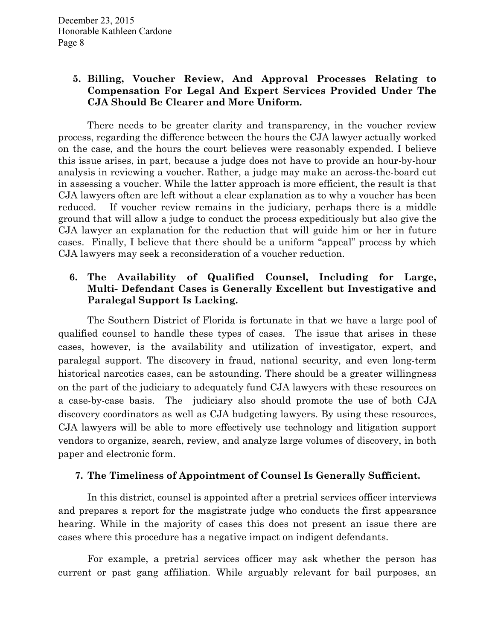## **5. Billing, Voucher Review, And Approval Processes Relating to Compensation For Legal And Expert Services Provided Under The CJA Should Be Clearer and More Uniform.**

There needs to be greater clarity and transparency, in the voucher review process, regarding the difference between the hours the CJA lawyer actually worked on the case, and the hours the court believes were reasonably expended. I believe this issue arises, in part, because a judge does not have to provide an hour-by-hour analysis in reviewing a voucher. Rather, a judge may make an across-the-board cut in assessing a voucher. While the latter approach is more efficient, the result is that CJA lawyers often are left without a clear explanation as to why a voucher has been reduced. If voucher review remains in the judiciary, perhaps there is a middle ground that will allow a judge to conduct the process expeditiously but also give the CJA lawyer an explanation for the reduction that will guide him or her in future cases. Finally, I believe that there should be a uniform "appeal" process by which CJA lawyers may seek a reconsideration of a voucher reduction.

## **6. The Availability of Qualified Counsel, Including for Large, Multi- Defendant Cases is Generally Excellent but Investigative and Paralegal Support Is Lacking.**

The Southern District of Florida is fortunate in that we have a large pool of qualified counsel to handle these types of cases. The issue that arises in these cases, however, is the availability and utilization of investigator, expert, and paralegal support. The discovery in fraud, national security, and even long-term historical narcotics cases, can be astounding. There should be a greater willingness on the part of the judiciary to adequately fund CJA lawyers with these resources on a case-by-case basis. The judiciary also should promote the use of both CJA discovery coordinators as well as CJA budgeting lawyers. By using these resources, CJA lawyers will be able to more effectively use technology and litigation support vendors to organize, search, review, and analyze large volumes of discovery, in both paper and electronic form.

## **7. The Timeliness of Appointment of Counsel Is Generally Sufficient.**

In this district, counsel is appointed after a pretrial services officer interviews and prepares a report for the magistrate judge who conducts the first appearance hearing. While in the majority of cases this does not present an issue there are cases where this procedure has a negative impact on indigent defendants.

For example, a pretrial services officer may ask whether the person has current or past gang affiliation. While arguably relevant for bail purposes, an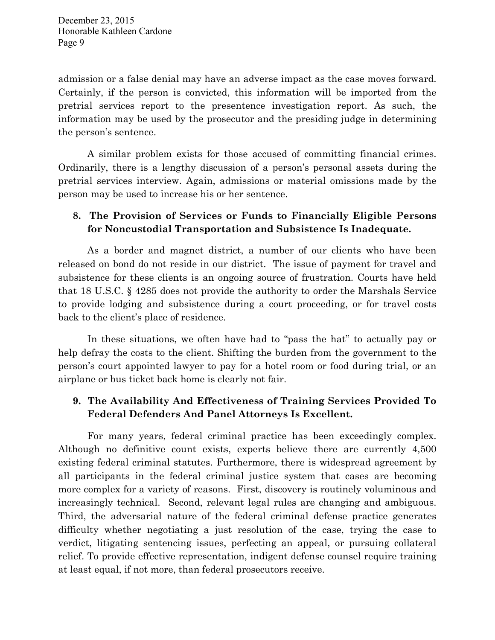admission or a false denial may have an adverse impact as the case moves forward. Certainly, if the person is convicted, this information will be imported from the pretrial services report to the presentence investigation report. As such, the information may be used by the prosecutor and the presiding judge in determining the person's sentence.

A similar problem exists for those accused of committing financial crimes. Ordinarily, there is a lengthy discussion of a person's personal assets during the pretrial services interview. Again, admissions or material omissions made by the person may be used to increase his or her sentence.

# **8. The Provision of Services or Funds to Financially Eligible Persons for Noncustodial Transportation and Subsistence Is Inadequate.**

As a border and magnet district, a number of our clients who have been released on bond do not reside in our district. The issue of payment for travel and subsistence for these clients is an ongoing source of frustration. Courts have held that 18 U.S.C. § 4285 does not provide the authority to order the Marshals Service to provide lodging and subsistence during a court proceeding, or for travel costs back to the client's place of residence.

In these situations, we often have had to "pass the hat" to actually pay or help defray the costs to the client. Shifting the burden from the government to the person's court appointed lawyer to pay for a hotel room or food during trial, or an airplane or bus ticket back home is clearly not fair.

# **9. The Availability And Effectiveness of Training Services Provided To Federal Defenders And Panel Attorneys Is Excellent.**

For many years, federal criminal practice has been exceedingly complex. Although no definitive count exists, experts believe there are currently 4,500 existing federal criminal statutes. Furthermore, there is widespread agreement by all participants in the federal criminal justice system that cases are becoming more complex for a variety of reasons. First, discovery is routinely voluminous and increasingly technical. Second, relevant legal rules are changing and ambiguous. Third, the adversarial nature of the federal criminal defense practice generates difficulty whether negotiating a just resolution of the case, trying the case to verdict, litigating sentencing issues, perfecting an appeal, or pursuing collateral relief. To provide effective representation, indigent defense counsel require training at least equal, if not more, than federal prosecutors receive.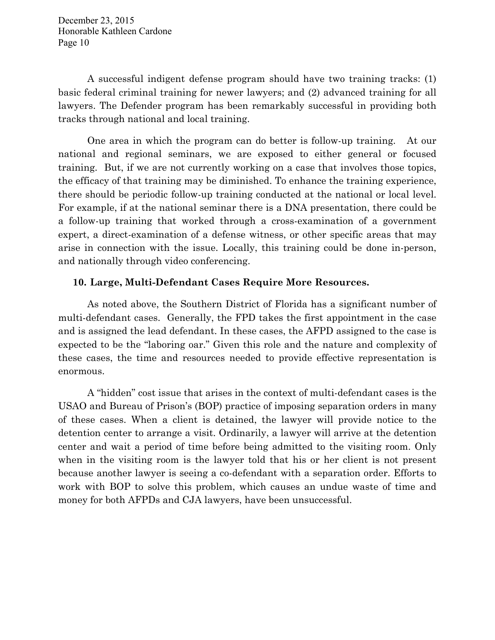A successful indigent defense program should have two training tracks: (1) basic federal criminal training for newer lawyers; and (2) advanced training for all lawyers. The Defender program has been remarkably successful in providing both tracks through national and local training.

One area in which the program can do better is follow-up training. At our national and regional seminars, we are exposed to either general or focused training. But, if we are not currently working on a case that involves those topics, the efficacy of that training may be diminished. To enhance the training experience, there should be periodic follow-up training conducted at the national or local level. For example, if at the national seminar there is a DNA presentation, there could be a follow-up training that worked through a cross-examination of a government expert, a direct-examination of a defense witness, or other specific areas that may arise in connection with the issue. Locally, this training could be done in-person, and nationally through video conferencing.

### **10. Large, Multi-Defendant Cases Require More Resources.**

As noted above, the Southern District of Florida has a significant number of multi-defendant cases. Generally, the FPD takes the first appointment in the case and is assigned the lead defendant. In these cases, the AFPD assigned to the case is expected to be the "laboring oar." Given this role and the nature and complexity of these cases, the time and resources needed to provide effective representation is enormous.

A "hidden" cost issue that arises in the context of multi-defendant cases is the USAO and Bureau of Prison's (BOP) practice of imposing separation orders in many of these cases. When a client is detained, the lawyer will provide notice to the detention center to arrange a visit. Ordinarily, a lawyer will arrive at the detention center and wait a period of time before being admitted to the visiting room. Only when in the visiting room is the lawyer told that his or her client is not present because another lawyer is seeing a co-defendant with a separation order. Efforts to work with BOP to solve this problem, which causes an undue waste of time and money for both AFPDs and CJA lawyers, have been unsuccessful.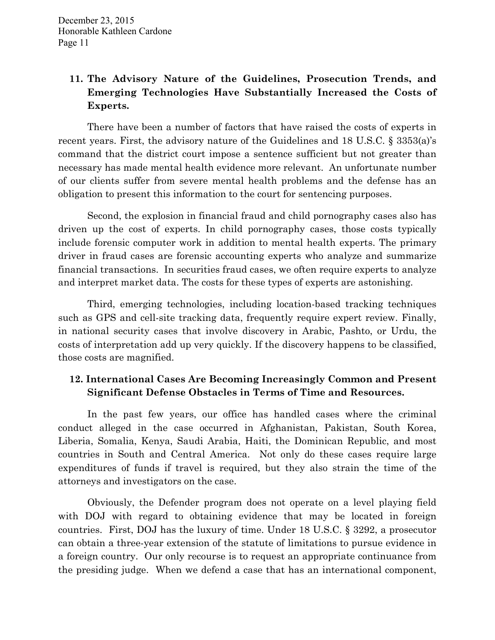# **11. The Advisory Nature of the Guidelines, Prosecution Trends, and Emerging Technologies Have Substantially Increased the Costs of Experts.**

There have been a number of factors that have raised the costs of experts in recent years. First, the advisory nature of the Guidelines and 18 U.S.C. § 3353(a)'s command that the district court impose a sentence sufficient but not greater than necessary has made mental health evidence more relevant. An unfortunate number of our clients suffer from severe mental health problems and the defense has an obligation to present this information to the court for sentencing purposes.

Second, the explosion in financial fraud and child pornography cases also has driven up the cost of experts. In child pornography cases, those costs typically include forensic computer work in addition to mental health experts. The primary driver in fraud cases are forensic accounting experts who analyze and summarize financial transactions. In securities fraud cases, we often require experts to analyze and interpret market data. The costs for these types of experts are astonishing.

Third, emerging technologies, including location-based tracking techniques such as GPS and cell-site tracking data, frequently require expert review. Finally, in national security cases that involve discovery in Arabic, Pashto, or Urdu, the costs of interpretation add up very quickly. If the discovery happens to be classified, those costs are magnified.

# **12. International Cases Are Becoming Increasingly Common and Present Significant Defense Obstacles in Terms of Time and Resources.**

In the past few years, our office has handled cases where the criminal conduct alleged in the case occurred in Afghanistan, Pakistan, South Korea, Liberia, Somalia, Kenya, Saudi Arabia, Haiti, the Dominican Republic, and most countries in South and Central America. Not only do these cases require large expenditures of funds if travel is required, but they also strain the time of the attorneys and investigators on the case.

Obviously, the Defender program does not operate on a level playing field with DOJ with regard to obtaining evidence that may be located in foreign countries. First, DOJ has the luxury of time. Under 18 U.S.C. § 3292, a prosecutor can obtain a three-year extension of the statute of limitations to pursue evidence in a foreign country. Our only recourse is to request an appropriate continuance from the presiding judge. When we defend a case that has an international component,